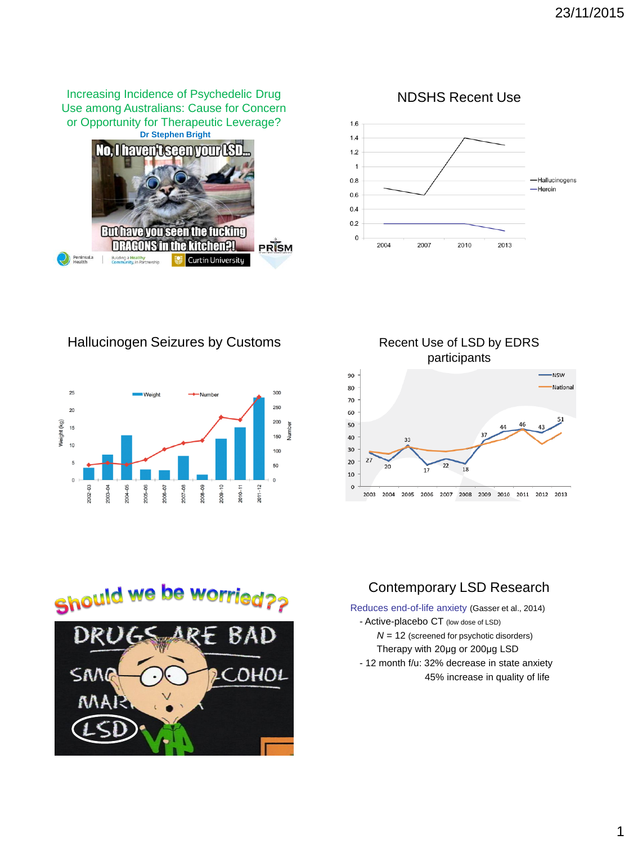**Dr Stephen Bright** Increasing Incidence of Psychedelic Drug Use among Australians: Cause for Concern or Opportunity for Therapeutic Leverage?



NDSHS Recent Use



Hallucinogen Seizures by Customs Recent Use of LSD by EDRS



participants







## Contemporary LSD Research

Reduces end-of-life anxiety (Gasser et al., 2014)

- Active-placebo CT (low dose of LSD)
	- *N* = 12 (screened for psychotic disorders) Therapy with 20μg or 200μg LSD
	-
- 12 month f/u: 32% decrease in state anxiety 45% increase in quality of life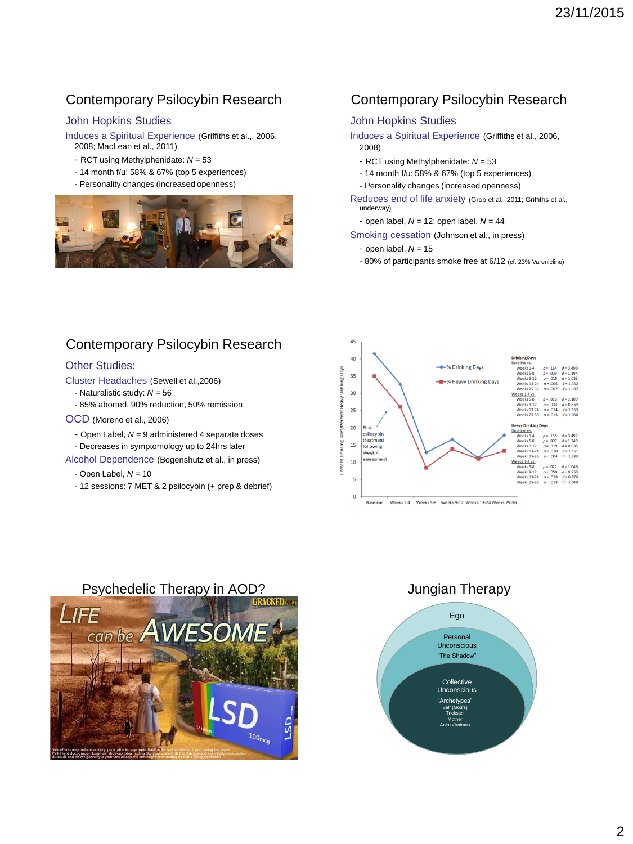# Contemporary Psilocybin Research

### John Hopkins Studies

Induces a Spiritual Experience (Griffiths et al.,, 2006, 2008; MacLean et al., 2011)

- RCT using Methylphenidate: *N* = 53
- 14 month f/u: 58% & 67% (top 5 experiences)
- **-** Personality changes (increased openness)



## Contemporary Psilocybin Research

### John Hopkins Studies

Induces a Spiritual Experience (Griffiths et al., 2006, 2008)

- RCT using Methylphenidate: *N* = 53
- 14 month f/u: 58% & 67% (top 5 experiences)
- Personality changes (increased openness)

Reduces end of life anxiety (Grob et al., 2011; Griffiths et al., underway)

- open label, *N =* 12; open label, *N =* 44

Smoking cessation (Johnson et al., in press)

- open label, *N =* 15
- 80% of participants smoke free at 6/12 (cf. 23% Varenicline)

## Contemporary Psilocybin Research

#### Other Studies:

Cluster Headaches (Sewell et al.,2006)

- Naturalistic study: *N* = 56

- 85% aborted, 90% reduction, 50% remission

#### OCD (Moreno et al., 2006)

- Open Label, *N* = 9 administered 4 separate doses
- Decreases in symptomology up to 24hrs later

Alcohol Dependence (Bogenshutz et al., in press)

- Open Label, *N* = 10
- 12 sessions: 7 MET & 2 psilocybin (+ prep & debrief)



### Psychedelic Therapy in AOD? Jungian Therapy